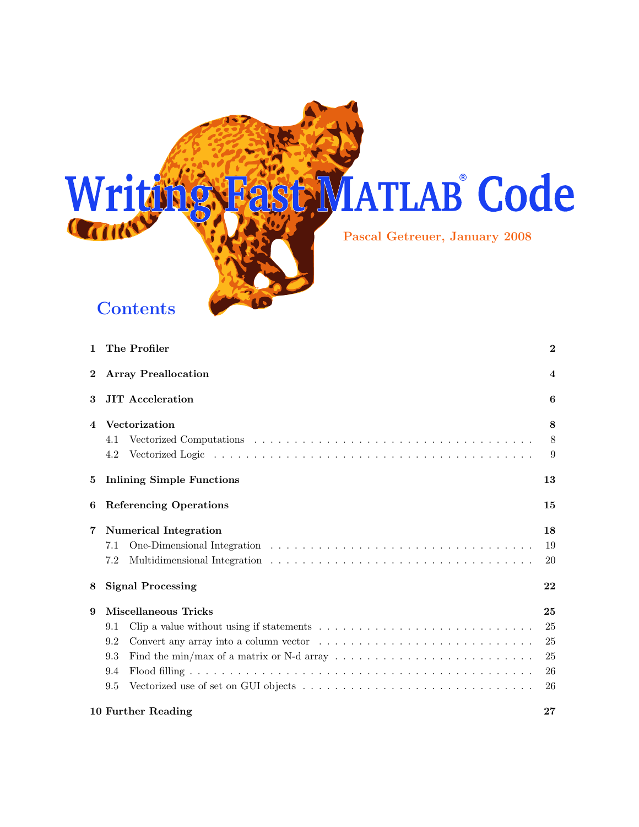

| 1        | The Profiler                                                                                                         | $\overline{2}$ |
|----------|----------------------------------------------------------------------------------------------------------------------|----------------|
| $\bf{2}$ | <b>Array Preallocation</b>                                                                                           | $\overline{4}$ |
| 3        | <b>JIT</b> Acceleration                                                                                              | 6              |
| 4        | Vectorization                                                                                                        | 8              |
|          | 4.1                                                                                                                  | 8              |
|          | 4.2                                                                                                                  | 9              |
| 5        | <b>Inlining Simple Functions</b>                                                                                     | 13             |
| 6        | <b>Referencing Operations</b>                                                                                        | 15             |
| 7        | <b>Numerical Integration</b>                                                                                         | 18             |
|          | 7.1                                                                                                                  | 19             |
|          | 7.2                                                                                                                  | 20             |
| 8        | <b>Signal Processing</b>                                                                                             | 22             |
| 9        | <b>Miscellaneous Tricks</b>                                                                                          | 25             |
|          | Clip a value without using if statements $\dots \dots \dots \dots \dots \dots \dots \dots \dots \dots \dots$<br>9.1  | 25             |
|          | 9.2                                                                                                                  | 25             |
|          | Find the min/max of a matrix or N-d array $\dots \dots \dots \dots \dots \dots \dots \dots \dots \dots \dots$<br>9.3 | 25             |
|          | 9.4                                                                                                                  | 26             |
|          | 9.5                                                                                                                  | 26             |
|          | 10 Further Reading                                                                                                   | 27             |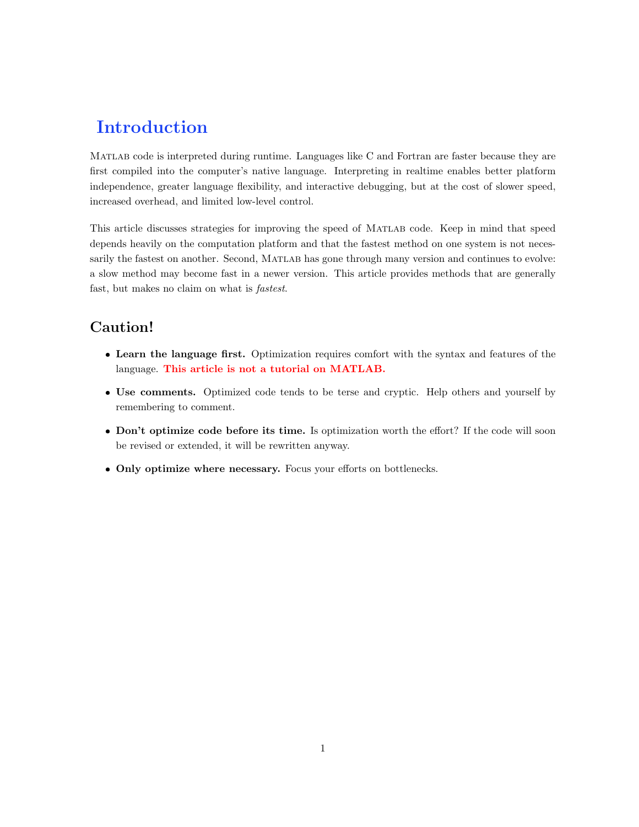# Introduction

Matlab code is interpreted during runtime. Languages like C and Fortran are faster because they are first compiled into the computer's native language. Interpreting in realtime enables better platform independence, greater language flexibility, and interactive debugging, but at the cost of slower speed, increased overhead, and limited low-level control.

This article discusses strategies for improving the speed of MATLAB code. Keep in mind that speed depends heavily on the computation platform and that the fastest method on one system is not necessarily the fastest on another. Second, MATLAB has gone through many version and continues to evolve: a slow method may become fast in a newer version. This article provides methods that are generally fast, but makes no claim on what is fastest.

# Caution!

- Learn the language first. Optimization requires comfort with the syntax and features of the language. This article is not a tutorial on MATLAB.
- Use comments. Optimized code tends to be terse and cryptic. Help others and yourself by remembering to comment.
- Don't optimize code before its time. Is optimization worth the effort? If the code will soon be revised or extended, it will be rewritten anyway.
- Only optimize where necessary. Focus your efforts on bottlenecks.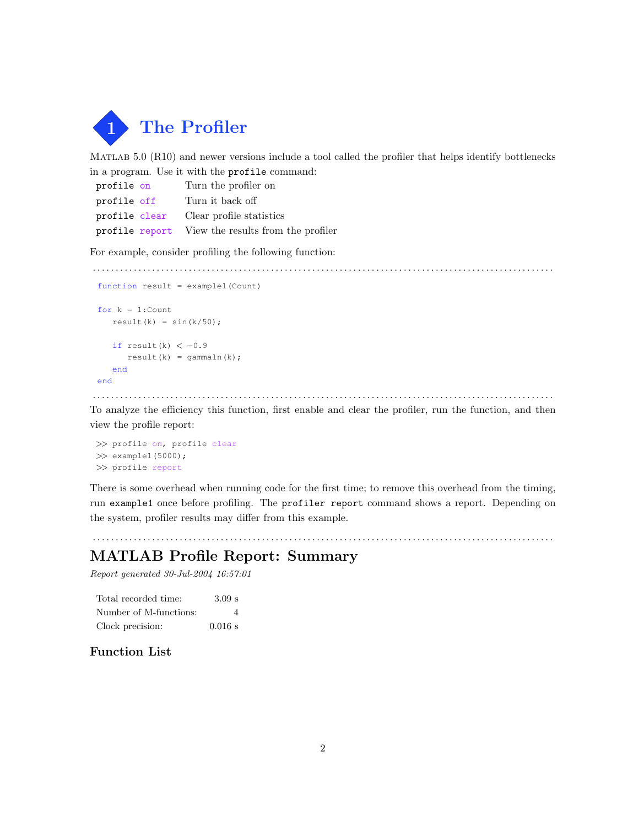

Matlab 5.0 (R10) and newer versions include a tool called the profiler that helps identify bottlenecks in a program. Use it with the profile command:

| profile on  | Turn the profiler on                              |
|-------------|---------------------------------------------------|
| profile off | Turn it back off                                  |
|             | profile clear Clear profile statistics            |
|             | profile report View the results from the profiler |

For example, consider profiling the following function:

. . . . . . . . . . . . . . . . . . . . . . . . . . . . . . . . . . . . . . . . . . . . . . . . . . . . . . . . . . . . . . . . . . . . . . . . . . . . . . . . . . . . . . . . . . . . . . . . . . . . .

```
function result = example1(Count)
for k = 1: Count
   result(k) = sin(k/50);
   if result(k) <-0.9result(k) = gammaln(k);end
end
```
. . . . . . . . . . . . . . . . . . . . . . . . . . . . . . . . . . . . . . . . . . . . . . . . . . . . . . . . . . . . . . . . . . . . . . . . . . . . . . . . . . . . . . . . . . . . . . . . . . . . . To analyze the efficiency this function, first enable and clear the profiler, run the function, and then view the profile report:

>> profile on, profile clear  $\gg$  example1(5000); >> profile report

There is some overhead when running code for the first time; to remove this overhead from the timing, run example1 once before profiling. The profiler report command shows a report. Depending on the system, profiler results may differ from this example.

. . . . . . . . . . . . . . . . . . . . . . . . . . . . . . . . . . . . . . . . . . . . . . . . . . . . . . . . . . . . . . . . . . . . . . . . . . . . . . . . . . . . . . . . . . . . . . . . . . . . .

# MATLAB Profile Report: Summary

Report generated 30-Jul-2004 16:57:01

| Total recorded time:   | 3.09 s    |
|------------------------|-----------|
| Number of M-functions: | Δ         |
| Clock precision:       | $0.016$ s |

# Function List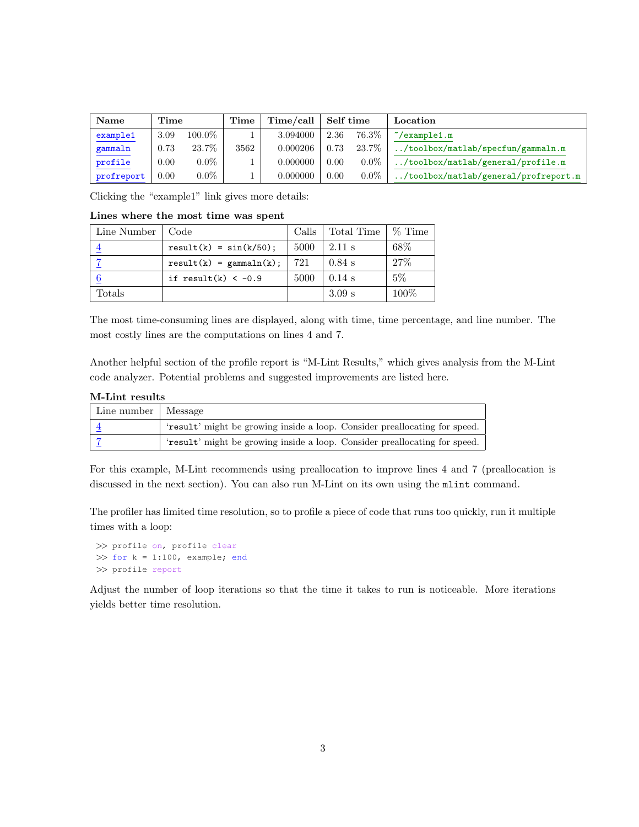| Name       | Time           |           | Time | Time/call | Self time |         | Location                                      |
|------------|----------------|-----------|------|-----------|-----------|---------|-----------------------------------------------|
| example1   | 3.09           | $100.0\%$ |      | 3.094000  | 2.36      | 76.3%   | $\tilde{\ }$ /example1.m                      |
| gammaln    | 0.73           | 23.7%     | 3562 | 0.000206  | 0.73      | 23.7%   | $\ldots$ /toolbox/matlab/specfun/gammaln.m    |
| profile    | 0.00           | $0.0\%$   |      | 0.000000  | 0.00      | $0.0\%$ | $\ldots$ /toolbox/matlab/general/profile.m    |
| profreport | $0.00^{\circ}$ | $0.0\%$   |      | 0.000000  | 0.00      | $0.0\%$ | $\ldots$ /toolbox/matlab/general/profreport.m |

Clicking the "example1" link gives more details:

Lines where the most time was spent

| Line Number  | Code                      | Calls | Total Time | $%$ Time |
|--------------|---------------------------|-------|------------|----------|
|              | $result(k) = sin(k/50);$  | 5000  | $2.11$ s   | 68\%     |
|              | $result(k) = gammaln(k);$ | 721   | $0.84$ s   | 27%      |
|              | if result(k) $<-0.9$      | 5000  | $0.14$ s   | $5\%$    |
| $\rm Totals$ |                           |       | $3.09$ s   | 100%     |

The most time-consuming lines are displayed, along with time, time percentage, and line number. The most costly lines are the computations on lines 4 and 7.

Another helpful section of the profile report is "M-Lint Results," which gives analysis from the M-Lint code analyzer. Potential problems and suggested improvements are listed here.

| Line number   Message |                                                                            |
|-----------------------|----------------------------------------------------------------------------|
|                       | 'result' might be growing inside a loop. Consider preallocating for speed. |
|                       | 'result' might be growing inside a loop. Consider preallocating for speed. |

For this example, M-Lint recommends using preallocation to improve lines 4 and 7 (preallocation is discussed in the next section). You can also run M-Lint on its own using the mlint command.

The profiler has limited time resolution, so to profile a piece of code that runs too quickly, run it multiple times with a loop:

```
>> profile on, profile clear
\gg for k = 1:100, example; end
>> profile report
```
Adjust the number of loop iterations so that the time it takes to run is noticeable. More iterations yields better time resolution.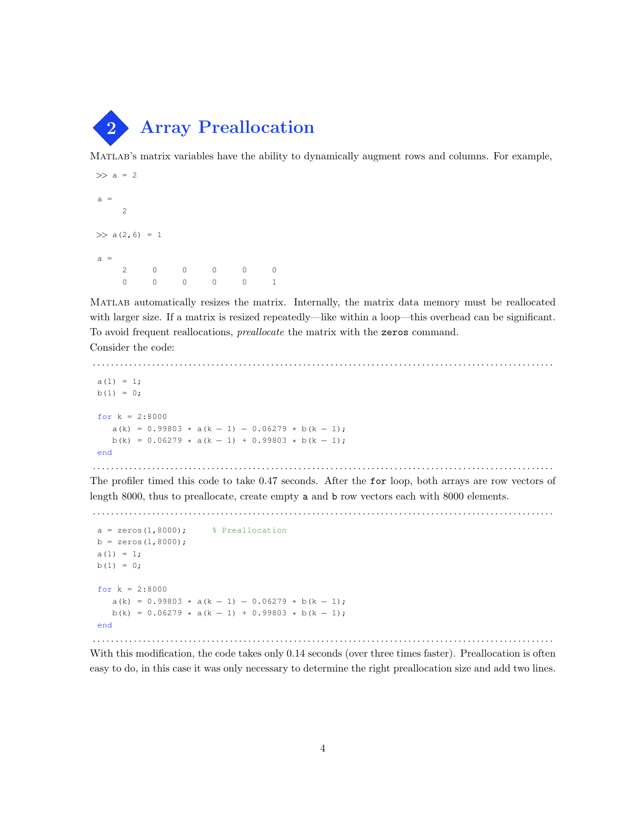

Matlab's matrix variables have the ability to dynamically augment rows and columns. For example,

```
\gg a = 2
a =2
\gg a(2,6) = 1
a =2 0 0 0 0 0
   0 0 0 0 0 1
```
Matlab automatically resizes the matrix. Internally, the matrix data memory must be reallocated with larger size. If a matrix is resized repeatedly—like within a loop—this overhead can be significant. To avoid frequent reallocations, preallocate the matrix with the zeros command.

. . . . . . . . . . . . . . . . . . . . . . . . . . . . . . . . . . . . . . . . . . . . . . . . . . . . . . . . . . . . . . . . . . . . . . . . . . . . . . . . . . . . . . . . . . . . . . . . . . . . .

Consider the code:

```
a(1) = 1;b(1) = 0;for k = 2:8000a(k) = 0.99803 \times a(k-1) - 0.06279 \times b(k-1);b(k) = 0.06279 \times a(k - 1) + 0.99803 \times b(k - 1);
 end
. . . . . . . . . . . . . . . . . . . . . . . . . . . . . . . . . . . . . . . . . . . . . . . . . . . . . . . . . . . . . . . . . . . . . . . . . . . . . . . . . . . . . . . . . . . . . . . . . . . . .
```
The profiler timed this code to take 0.47 seconds. After the for loop, both arrays are row vectors of length 8000, thus to preallocate, create empty a and b row vectors each with 8000 elements.

```
. . . . . . . . . . . . . . . . . . . . . . . . . . . . . . . . . . . . . . . . . . . . . . . . . . . . . . . . . . . . . . . . . . . . . . . . . . . . . . . . . . . . . . . . . . . . . . . . . . . . .
```

```
a = zeros(1,8000); \frac{1}{2} Preallocation
b = zeros(1,8000);a(1) = 1;b(1) = 0;for k = 2:8000a(k) = 0.99803 * a(k - 1) - 0.06279 * b(k - 1);b(k) = 0.06279 \times a(k - 1) + 0.99803 \times b(k - 1);end
```
With this modification, the code takes only  $0.14$  seconds (over three times faster). Preallocation is often easy to do, in this case it was only necessary to determine the right preallocation size and add two lines.

. . . . . . . . . . . . . . . . . . . . . . . . . . . . . . . . . . . . . . . . . . . . . . . . . . . . . . . . . . . . . . . . . . . . . . . . . . . . . . . . . . . . . . . . . . . . . . . . . . . . .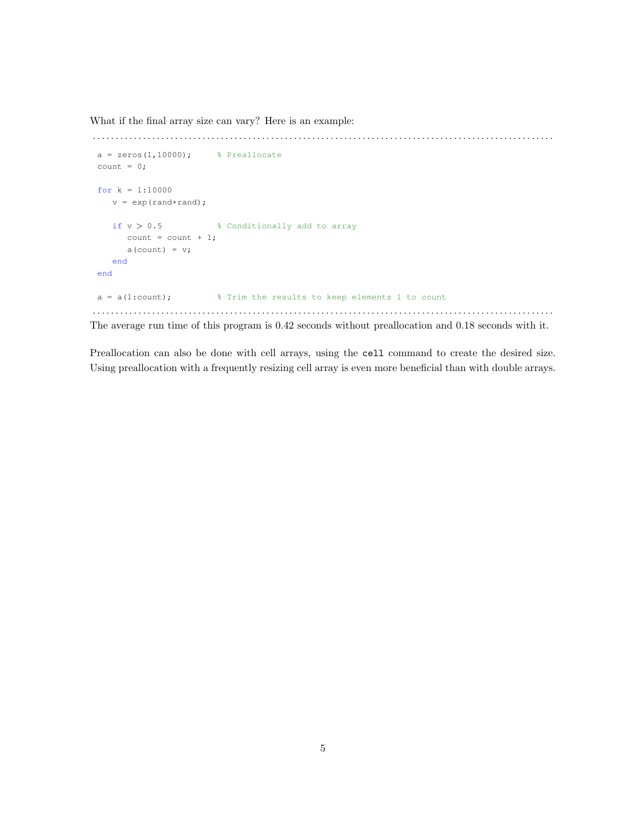What if the final array size can vary? Here is an example:

```
. . . . . . . . . . . . . . . . . . . . . . . . . . . . . . . . . . . . . . . . . . . . . . . . . . . . . . . . . . . . . . . . . . . . . . . . . . . . . . . . . . . . . . . . . . . . . . . . . . . . .
 a = zeros(1,10000); % Preallocate
 count = 0;for k = 1:10000v = exp(rand*rand);if v > 0.5 % Conditionally add to array
         count = count + 1;a(count) = v;end
 end
 a = a(1:count); % Trim the results to keep elements 1 to count
. . . . . . . . . . . . . . . . . . . . . . . . . . . . . . . . . . . . . . . . . . . . . . . . . . . . . . . . . . . . . . . . . . . . . . . . . . . . . . . . . . . . . . . . . . . . . . . . . . . . .
```
The average run time of this program is 0.42 seconds without preallocation and 0.18 seconds with it.

Preallocation can also be done with cell arrays, using the cell command to create the desired size. Using preallocation with a frequently resizing cell array is even more beneficial than with double arrays.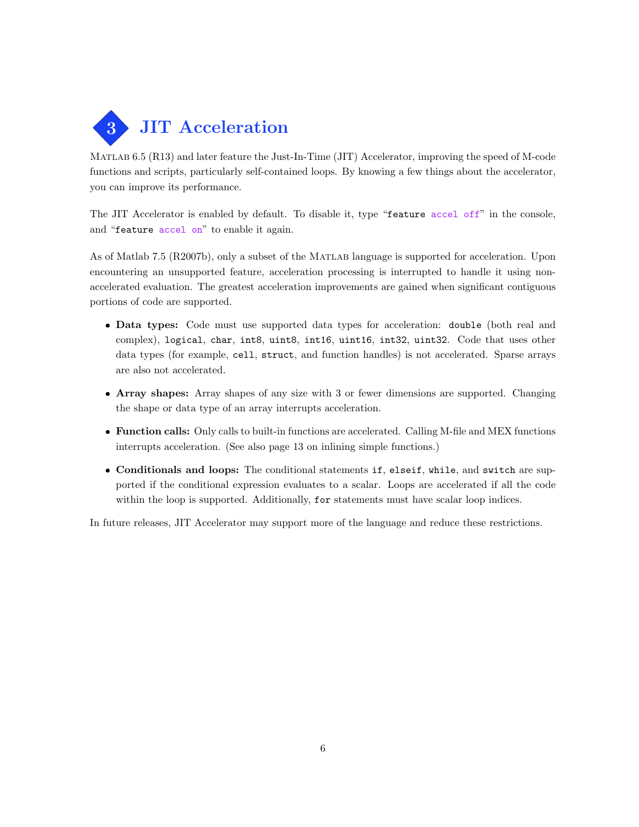

Matlab 6.5 (R13) and later feature the Just-In-Time (JIT) Accelerator, improving the speed of M-code functions and scripts, particularly self-contained loops. By knowing a few things about the accelerator, you can improve its performance.

The JIT Accelerator is enabled by default. To disable it, type "feature accel off" in the console, and "feature accel on" to enable it again.

As of Matlab 7.5 (R2007b), only a subset of the Matlab language is supported for acceleration. Upon encountering an unsupported feature, acceleration processing is interrupted to handle it using nonaccelerated evaluation. The greatest acceleration improvements are gained when significant contiguous portions of code are supported.

- Data types: Code must use supported data types for acceleration: double (both real and complex), logical, char, int8, uint8, int16, uint16, int32, uint32. Code that uses other data types (for example, cell, struct, and function handles) is not accelerated. Sparse arrays are also not accelerated.
- Array shapes: Array shapes of any size with 3 or fewer dimensions are supported. Changing the shape or data type of an array interrupts acceleration.
- Function calls: Only calls to built-in functions are accelerated. Calling M-file and MEX functions interrupts acceleration. (See also page 13 on inlining simple functions.)
- Conditionals and loops: The conditional statements if, elseif, while, and switch are supported if the conditional expression evaluates to a scalar. Loops are accelerated if all the code within the loop is supported. Additionally, for statements must have scalar loop indices.

In future releases, JIT Accelerator may support more of the language and reduce these restrictions.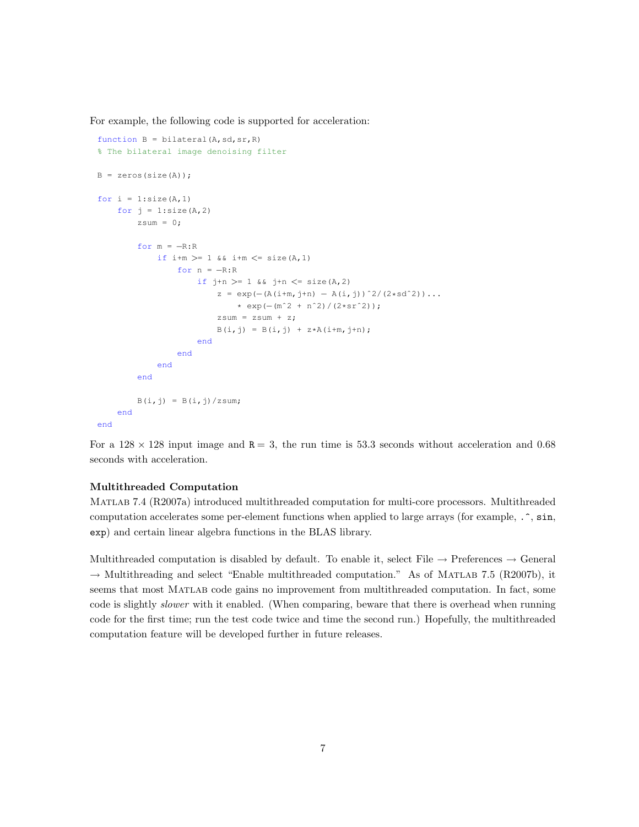For example, the following code is supported for acceleration:

```
function B = \text{bilateral}(A, sd, sr, R)% The bilateral image denoising filter
B = zeros(Size(A));for i = 1: size (A, 1)for j = 1:size(A,2)
        zsum = 0;for m = -R:Rif i+m >= 1 && i+m <= size (A, 1)
                 for n = -R:Rif j+n > = 1 & j+n < = size(A, 2)z = exp(- (A(i+m, j+n) - A(i, j))^2/(2*sd^2))...* exp(−(mˆ2 + nˆ2)/(2*srˆ2));
                         zsum = zsum + z;
                         B(i, j) = B(i, j) + z*A(i+m, j+n);end
                 end
            end
        end
        B(i, j) = B(i, j)/zsum;end
end
```
For a  $128 \times 128$  input image and  $R = 3$ , the run time is 53.3 seconds without acceleration and 0.68 seconds with acceleration.

#### Multithreaded Computation

Matlab 7.4 (R2007a) introduced multithreaded computation for multi-core processors. Multithreaded computation accelerates some per-element functions when applied to large arrays (for example, .^, sin, exp) and certain linear algebra functions in the BLAS library.

Multithreaded computation is disabled by default. To enable it, select File  $\rightarrow$  Preferences  $\rightarrow$  General  $\rightarrow$  Multithreading and select "Enable multithreaded computation." As of MATLAB 7.5 (R2007b), it seems that most Matlab code gains no improvement from multithreaded computation. In fact, some code is slightly *slower* with it enabled. (When comparing, beware that there is overhead when running code for the first time; run the test code twice and time the second run.) Hopefully, the multithreaded computation feature will be developed further in future releases.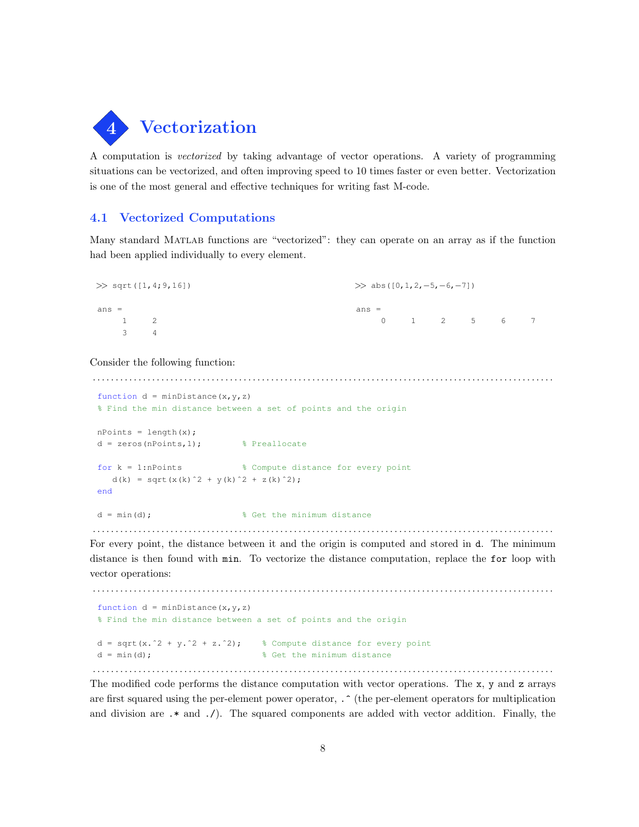

A computation is vectorized by taking advantage of vector operations. A variety of programming situations can be vectorized, and often improving speed to 10 times faster or even better. Vectorization is one of the most general and effective techniques for writing fast M-code.

# 4.1 Vectorized Computations

Many standard MATLAB functions are "vectorized": they can operate on an array as if the function had been applied individually to every element.

| $\gg$ sqrt([1,4;9,16]) |                | $\gg$ abs ([0, 1, 2, -5, -6, -7])              |
|------------------------|----------------|------------------------------------------------|
| $ans =$                |                | $ans =$                                        |
|                        | $1 \quad 2$    | - 7<br>$0 \qquad 1 \qquad 2 \qquad 5 \qquad 6$ |
| -3                     | $\overline{a}$ |                                                |

#### Consider the following function:

. . . . . . . . . . . . . . . . . . . . . . . . . . . . . . . . . . . . . . . . . . . . . . . . . . . . . . . . . . . . . . . . . . . . . . . . . . . . . . . . . . . . . . . . . . . . . . . . . . . . . function  $d = minDistance(x,y,z)$ % Find the min distance between a set of points and the origin  $nPoints = length(x);$ d = zeros(nPoints,1); % Preallocate for  $k = 1$ :nPoints  $\frac{1}{2}$   $\frac{1}{2}$   $\frac{1}{2}$  Compute distance for every point d(k) = sqrt(x(k)^2 + y(k)^2 + z(k)^2); end  $d = min(d)$ ;  $\frac{1}{2}$  et the minimum distance

For every point, the distance between it and the origin is computed and stored in d. The minimum distance is then found with min. To vectorize the distance computation, replace the for loop with vector operations:

. . . . . . . . . . . . . . . . . . . . . . . . . . . . . . . . . . . . . . . . . . . . . . . . . . . . . . . . . . . . . . . . . . . . . . . . . . . . . . . . . . . . . . . . . . . . . . . . . . . . .

```
. . . . . . . . . . . . . . . . . . . . . . . . . . . . . . . . . . . . . . . . . . . . . . . . . . . . . . . . . . . . . . . . . . . . . . . . . . . . . . . . . . . . . . . . . . . . . . . . . . . . .
 function d = minDistance(x,y,z)% Find the min distance between a set of points and the origin
 d = sqrt(x.^2 + y.^2 + z.^2); % Compute distance for every point
 d = min(d); % Get the minimum distance
```
The modified code performs the distance computation with vector operations. The x, y and z arrays are first squared using the per-element power operator,  $\cdot$  (the per-element operators for multiplication and division are .\* and ./). The squared components are added with vector addition. Finally, the

. . . . . . . . . . . . . . . . . . . . . . . . . . . . . . . . . . . . . . . . . . . . . . . . . . . . . . . . . . . . . . . . . . . . . . . . . . . . . . . . . . . . . . . . . . . . . . . . . . . . .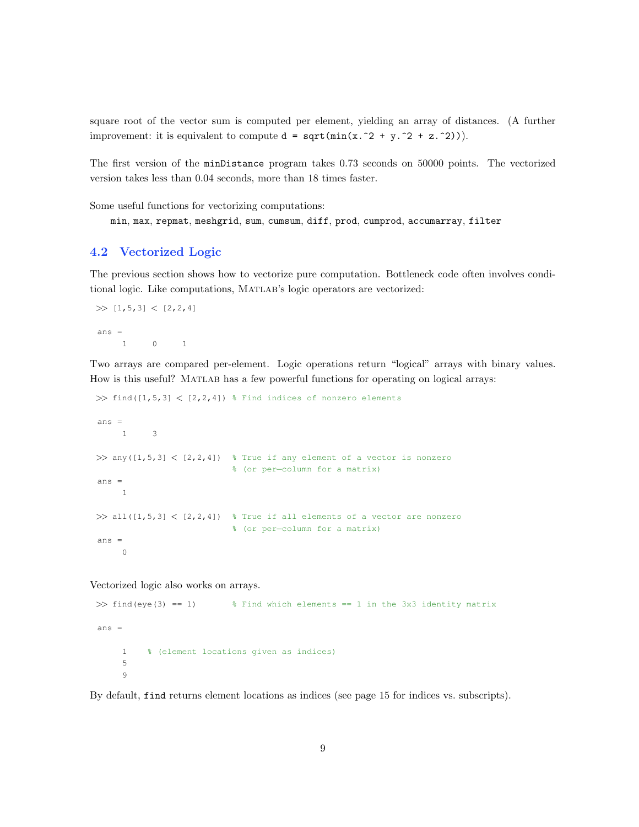square root of the vector sum is computed per element, yielding an array of distances. (A further improvement: it is equivalent to compute  $d = \text{sqrt}(\min(x.^2 + y.^2 + z.^2))$ .

The first version of the minDistance program takes 0.73 seconds on 50000 points. The vectorized version takes less than 0.04 seconds, more than 18 times faster.

Some useful functions for vectorizing computations:

min, max, repmat, meshgrid, sum, cumsum, diff, prod, cumprod, accumarray, filter

# 4.2 Vectorized Logic

The previous section shows how to vectorize pure computation. Bottleneck code often involves conditional logic. Like computations, Matlab's logic operators are vectorized:

```
\gg [1,5,3] < [2,2,4]
ans =1 0 1
```
Two arrays are compared per-element. Logic operations return "logical" arrays with binary values. How is this useful? Matlab has a few powerful functions for operating on logical arrays:

```
\gg find([1,5,3] < [2,2,4]) % Find indices of nonzero elements
ans =
    1 3
\gg any([1,5,3] < [2,2,4]) % True if any element of a vector is nonzero
                           % (or per−column for a matrix)
ans =
    1
\gg all([1,5,3] < [2,2,4]) % True if all elements of a vector are nonzero
                           % (or per−column for a matrix)
ans =
     0
```
Vectorized logic also works on arrays.

```
\gg find(eye(3) == 1) % Find which elements == 1 in the 3x3 identity matrix
ans =
    1 % (element locations given as indices)
    5
     9
```
By default, find returns element locations as indices (see page 15 for indices vs. subscripts).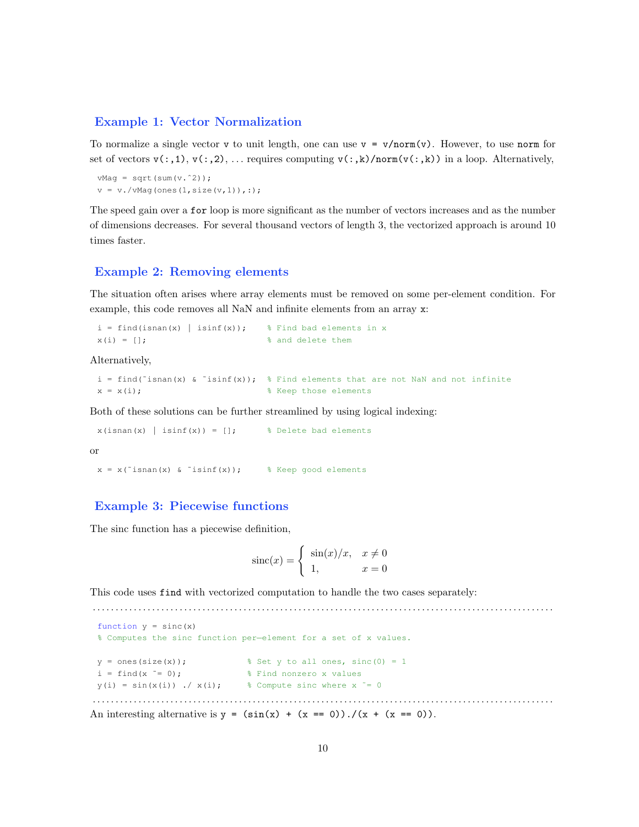# Example 1: Vector Normalization

To normalize a single vector v to unit length, one can use  $v = v/norm(v)$ . However, to use norm for set of vectors  $v(:,1), v(:,2), \ldots$  requires computing  $v(:,k)/norm(v(:,k))$  in a loop. Alternatively,

```
vMag = sqrt(sum(v.^2));
v = v./vMag(ones(1,size(v,1)),:);
```
The speed gain over a for loop is more significant as the number of vectors increases and as the number of dimensions decreases. For several thousand vectors of length 3, the vectorized approach is around 10 times faster.

#### Example 2: Removing elements

The situation often arises where array elements must be removed on some per-element condition. For example, this code removes all NaN and infinite elements from an array x:

```
i = \text{find}(\text{isnan}(x) \mid \text{isinf}(x)); % Find bad elements in x
x(i) = []; % x(i) = []
```
Alternatively,

```
i = find(~isnan(x) & ~isinf(x)); % Find elements that are not NaN and not infinite
x = x(i);<br>
% Keep those elements
```
Both of these solutions can be further streamlined by using logical indexing:

 $x(isan(x) | isinf(x)) = []$ ; % Delete bad elements or

 $x = x("isnan(x) & isisinf(x));$  % Keep good elements

# Example 3: Piecewise functions

The sinc function has a piecewise definition,

$$
\operatorname{sinc}(x) = \begin{cases} \sin(x)/x, & x \neq 0 \\ 1, & x = 0 \end{cases}
$$

. . . . . . . . . . . . . . . . . . . . . . . . . . . . . . . . . . . . . . . . . . . . . . . . . . . . . . . . . . . . . . . . . . . . . . . . . . . . . . . . . . . . . . . . . . . . . . . . . . . . .

This code uses find with vectorized computation to handle the two cases separately:

```
function y = sinc(x)% Computes the sinc function per−element for a set of x values.
 y = ones(size(x)); <br> % Set y to all ones, sinc(0) = 1i = \text{find}(x \stackrel{\sim}{=} 0); <br> \text{\&} Find nonzero x values
 y(i) = \sin(x(i)). \angle x(i); \frac{1}{2} Compute sinc where x \stackrel{\sim}{=} 0. . . . . . . . . . . . . . . . . . . . . . . . . . . . . . . . . . . . . . . . . . . . . . . . . . . . . . . . . . . . . . . . . . . . . . . . . . . . . . . . . . . . . . . . . . . . . . . . . . . . .
```
An interesting alternative is  $y = (\sin(x) + (x == 0)) \cdot / (x + (x == 0))$ .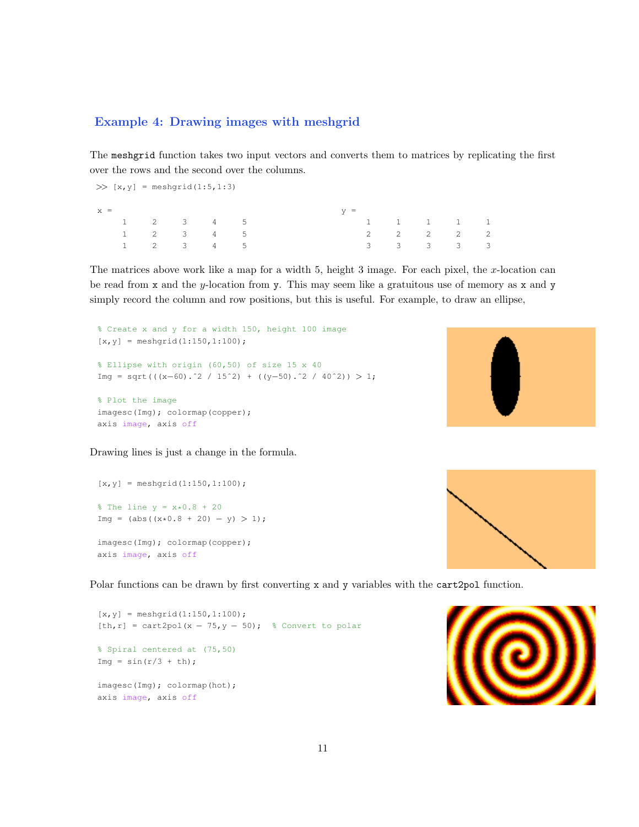# Example 4: Drawing images with meshgrid

The meshgrid function takes two input vectors and converts them to matrices by replicating the first over the rows and the second over the columns.

 $\gg$  [x, y] = meshgrid(1:5, 1:3)  $x =$ 1 2 3 4 5 1 2 3 4 5 1 2 3 4 5  $y =$ 1 1 1 1 1 2 2 2 2 2 3 3 3 3 3

The matrices above work like a map for a width  $5$ , height 3 image. For each pixel, the x-location can be read from x and the y-location from y. This may seem like a gratuitous use of memory as x and y simply record the column and row positions, but this is useful. For example, to draw an ellipse,

```
% Create x and y for a width 150, height 100 image
[x, y] = meshgrid(1:150,1:100);
% Ellipse with origin (60,50) of size 15 x 40
Img = sqrt(((x-60).^2 / 15^2) + ((y-50).^2 / 40^2)) > 1;
% Plot the image
imagesc(Img); colormap(copper);
axis image, axis off
```


Drawing lines is just a change in the formula.

 $[x, y] =$  meshgrid(1:150,1:100);  $\text{the line } y = x * 0.8 + 20$  $Img = (abs((x*0.8 + 20) - y) > 1);$ imagesc(Img); colormap(copper); axis image, axis off



Polar functions can be drawn by first converting x and y variables with the cart2pol function.

 $[x, y] =$  meshgrid(1:150,1:100); [th,r] = cart2pol(x - 75,  $y$  - 50); % Convert to polar % Spiral centered at (75,50) Img =  $sin(r/3 + th)$ ; imagesc(Img); colormap(hot); axis image, axis off

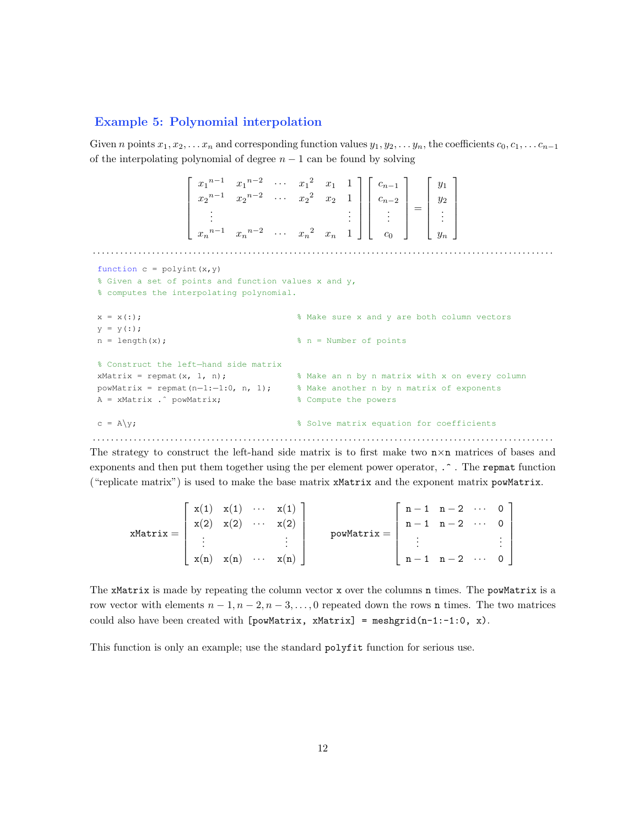#### Example 5: Polynomial interpolation

Given n points  $x_1, x_2, \ldots x_n$  and corresponding function values  $y_1, y_2, \ldots y_n$ , the coefficients  $c_0, c_1, \ldots c_{n-1}$ of the interpolating polynomial of degree  $n - 1$  can be found by solving

 $\lceil$   $x_1^{n-1}$   $x_1^{n-2}$   $\cdots$   $x_1^2$   $x_1$  1  $x_2^{n-1}$   $x_2^{n-2}$   $\cdots$   $x_2^2$   $x_2$  1 . . . . . .  $x_n^{n-1}$   $x_n^{n-2}$   $\cdots$   $x_n^2$   $x_n$  1 1  $\lceil$   $c_{n-1}$  $c_{n-2}$ . . .  $c_0$ 1 =  $\lceil$   $y_1$  $y_2$ . . . yn 1 . . . . . . . . . . . . . . . . . . . . . . . . . . . . . . . . . . . . . . . . . . . . . . . . . . . . . . . . . . . . . . . . . . . . . . . . . . . . . . . . . . . . . . . . . . . . . . . . . . . . . function  $c = polyint(x, y)$ % Given a set of points and function values x and y, % computes the interpolating polynomial.  $x = x(:);$ <br>  $x = x(:);$  $y = y(:);$  $n = length(x)$ ;  $\text{and} \quad n = Number of points$ % Construct the left−hand side matrix  $x$ Matrix = repmat(x, 1, n);  $\frac{1}{x}$  % Make an n by n matrix with x on every column powMatrix = repmat(n-1:-1:0, n, 1); % Make another n by n matrix of exponents A = xMatrix . ^ powMatrix;  $\frac{1}{2}$  8 Compute the powers  $c = A\gamma$ ;  $\approx$  Solve matrix equation for coefficients . . . . . . . . . . . . . . . . . . . . . . . . . . . . . . . . . . . . . . . . . . . . . . . . . . . . . . . . . . . . . . . . . . . . . . . . . . . . . . . . . . . . . . . . . . . . . . . . . . . . .

The strategy to construct the left-hand side matrix is to first make two  $n \times n$  matrices of bases and exponents and then put them together using the per element power operator,  $\cdot$   $\cdot$  . The repmat function ("replicate matrix") is used to make the base matrix xMatrix and the exponent matrix powMatrix.

 $x$ Matri $x =$  $\lceil$   $x(1)$   $x(1)$   $\cdots$   $x(1)$  $x(2)$   $x(2)$   $\cdots$   $x(2)$ . . . . . .  $x(n)$   $x(n)$   $\cdots$   $x(n)$ 1  $powMatrix =$  $\lceil$   $n-1$   $n-2$   $\cdots$  0  $n-1$   $n-2$   $\cdots$  0 . . . . . .  $n-1$   $n-2$   $\cdots$  0 1 

The xMatrix is made by repeating the column vector x over the columns n times. The powMatrix is a row vector with elements  $n-1, n-2, n-3, \ldots, 0$  repeated down the rows **n** times. The two matrices could also have been created with  $[powMatrix, xMatrix] = meshgrid(n-1:-1:0, x)$ .

This function is only an example; use the standard polyfit function for serious use.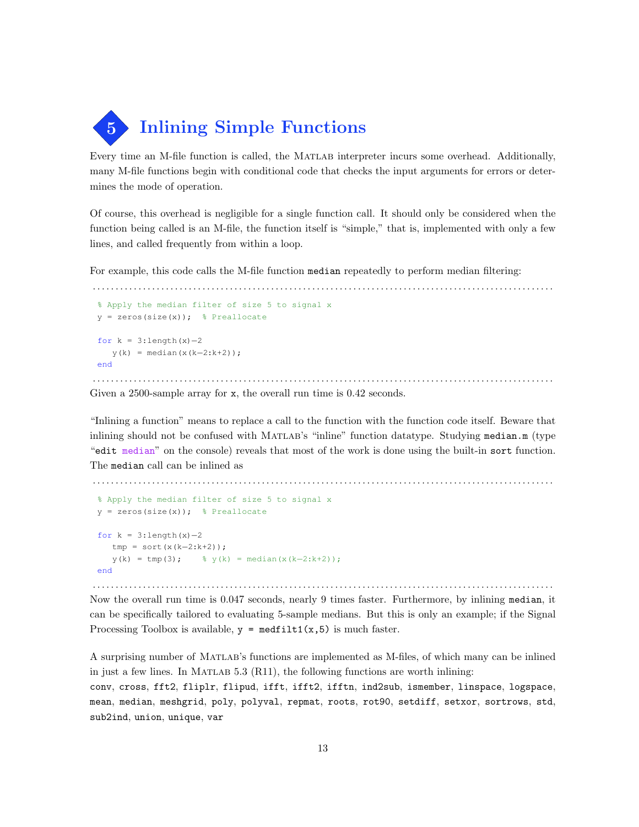5 Inlining Simple Functions

Every time an M-file function is called, the Matlab interpreter incurs some overhead. Additionally, many M-file functions begin with conditional code that checks the input arguments for errors or determines the mode of operation.

Of course, this overhead is negligible for a single function call. It should only be considered when the function being called is an M-file, the function itself is "simple," that is, implemented with only a few lines, and called frequently from within a loop.

For example, this code calls the M-file function median repeatedly to perform median filtering:

```
. . . . . . . . . . . . . . . . . . . . . . . . . . . . . . . . . . . . . . . . . . . . . . . . . . . . . . . . . . . . . . . . . . . . . . . . . . . . . . . . . . . . . . . . . . . . . . . . . . . . .
 % Apply the median filter of size 5 to signal x
 y = zeros(size(x)); % Preallocate
 for k = 3:length(x)-2
      y(k) = median(x(k-2:k+2));end
. . . . . . . . . . . . . . . . . . . . . . . . . . . . . . . . . . . . . . . . . . . . . . . . . . . . . . . . . . . . . . . . . . . . . . . . . . . . . . . . . . . . . . . . . . . . . . . . . . . . .
```
Given a 2500-sample array for x, the overall run time is 0.42 seconds.

"Inlining a function" means to replace a call to the function with the function code itself. Beware that inlining should not be confused with Matlab's "inline" function datatype. Studying median.m (type "edit median" on the console) reveals that most of the work is done using the built-in sort function. The median call can be inlined as

```
. . . . . . . . . . . . . . . . . . . . . . . . . . . . . . . . . . . . . . . . . . . . . . . . . . . . . . . . . . . . . . . . . . . . . . . . . . . . . . . . . . . . . . . . . . . . . . . . . . . . .
 % Apply the median filter of size 5 to signal x
 y = zeros(size(x)); % Preallocate
 for k = 3:length(x) -2
     tmp = sort(x(k−2:k+2));
     y(k) = \text{tmp}(3); % y(k) = \text{median}(x(k-2:k+2));end
```
. . . . . . . . . . . . . . . . . . . . . . . . . . . . . . . . . . . . . . . . . . . . . . . . . . . . . . . . . . . . . . . . . . . . . . . . . . . . . . . . . . . . . . . . . . . . . . . . . . . . . Now the overall run time is 0.047 seconds, nearly 9 times faster. Furthermore, by inlining median, it can be specifically tailored to evaluating 5-sample medians. But this is only an example; if the Signal Processing Toolbox is available,  $y = \text{medfilt1}(x, 5)$  is much faster.

A surprising number of Matlab's functions are implemented as M-files, of which many can be inlined in just a few lines. In MATLAB  $5.3$  (R11), the following functions are worth inlining:

conv, cross, fft2, fliplr, flipud, ifft, ifft2, ifftn, ind2sub, ismember, linspace, logspace, mean, median, meshgrid, poly, polyval, repmat, roots, rot90, setdiff, setxor, sortrows, std, sub2ind, union, unique, var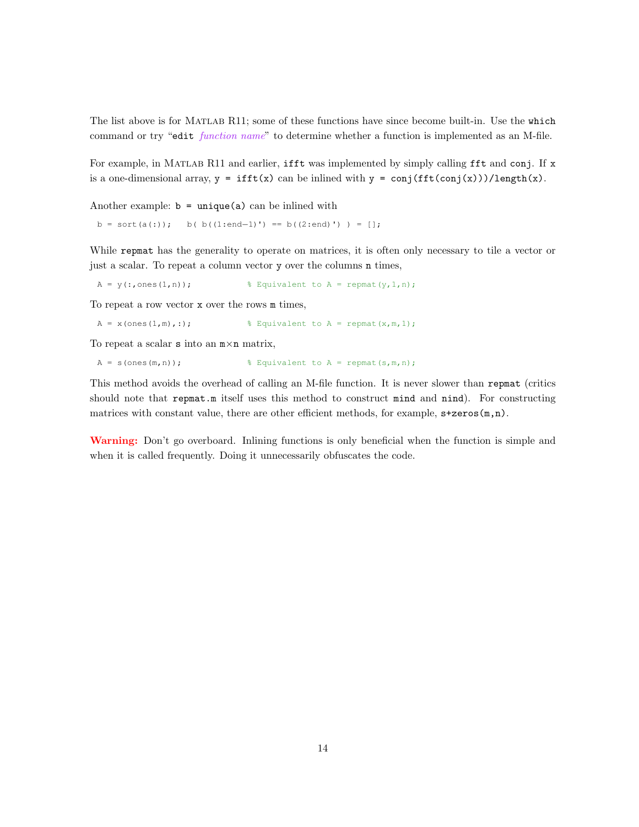The list above is for MATLAB R11; some of these functions have since become built-in. Use the which command or try "edit function name" to determine whether a function is implemented as an M-file.

For example, in MATLAB R11 and earlier, ifft was implemented by simply calling fft and conj. If x is a one-dimensional array,  $y = ifft(x)$  can be inlined with  $y = conj(fft(conj(x)))/length(x)$ .

Another example:  $b = unique(a)$  can be inlined with

b = sort(a(:)); b( b((1:end-1)') == b((2:end)') ) = [];

While repmat has the generality to operate on matrices, it is often only necessary to tile a vector or just a scalar. To repeat a column vector y over the columns n times,

 $A = y(:, ones(1,n));$  % Equivalent to  $A = \text{repmat}(y,1,n);$ 

To repeat a row vector x over the rows m times,

 $A = x(\text{ones}(1,m),:);$  <br> & Equivalent to  $A = \text{repmat}(x,m,1);$ 

To repeat a scalar  $s$  into an  $m \times n$  matrix,

 $A = s(\text{ones}(m,n));$  % Equivalent to  $A = \text{repmat}(s,m,n);$ 

This method avoids the overhead of calling an M-file function. It is never slower than repmat (critics should note that repmat.m itself uses this method to construct mind and nind). For constructing matrices with constant value, there are other efficient methods, for example,  $s+zeros(m,n)$ .

Warning: Don't go overboard. Inlining functions is only beneficial when the function is simple and when it is called frequently. Doing it unnecessarily obfuscates the code.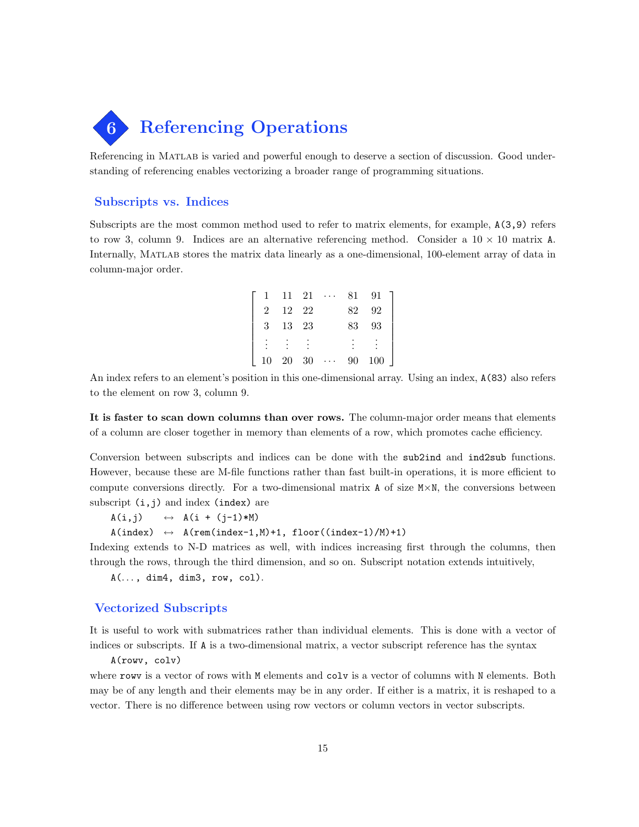

Referencing in Matlab is varied and powerful enough to deserve a section of discussion. Good understanding of referencing enables vectorizing a broader range of programming situations.

#### Subscripts vs. Indices

Subscripts are the most common method used to refer to matrix elements, for example, A(3,9) refers to row 3, column 9. Indices are an alternative referencing method. Consider a  $10 \times 10$  matrix A. Internally, MATLAB stores the matrix data linearly as a one-dimensional, 100-element array of data in column-major order.

|   | 11 | - 21 | $\sim$ 100 $\sim$ 100 $\sim$ | 81 | 91  |
|---|----|------|------------------------------|----|-----|
|   | 12 | -22  |                              | 82 | 92  |
| 3 | 13 | -23  |                              | 83 | 93  |
|   |    |      |                              |    |     |
|   | 20 | 30   | $\cdots$                     | 90 | 100 |

An index refers to an element's position in this one-dimensional array. Using an index, A(83) also refers to the element on row 3, column 9.

It is faster to scan down columns than over rows. The column-major order means that elements of a column are closer together in memory than elements of a row, which promotes cache efficiency.

Conversion between subscripts and indices can be done with the sub2ind and ind2sub functions. However, because these are M-file functions rather than fast built-in operations, it is more efficient to compute conversions directly. For a two-dimensional matrix  $A$  of size  $M \times N$ , the conversions between subscript  $(i, j)$  and index (index) are

 $A(i, j) \qquad \leftrightarrow \quad A(i + (j-1)*M)$ 

 $A(index) \leftrightarrow A(rem(index-1,M)+1, floor((index-1)/M)+1)$ 

Indexing extends to N-D matrices as well, with indices increasing first through the columns, then through the rows, through the third dimension, and so on. Subscript notation extends intuitively,

 $A(\ldots, dim4, dim3, row, col).$ 

### Vectorized Subscripts

It is useful to work with submatrices rather than individual elements. This is done with a vector of indices or subscripts. If A is a two-dimensional matrix, a vector subscript reference has the syntax

A(rowv, colv)

where rowy is a vector of rows with M elements and colv is a vector of columns with N elements. Both may be of any length and their elements may be in any order. If either is a matrix, it is reshaped to a vector. There is no difference between using row vectors or column vectors in vector subscripts.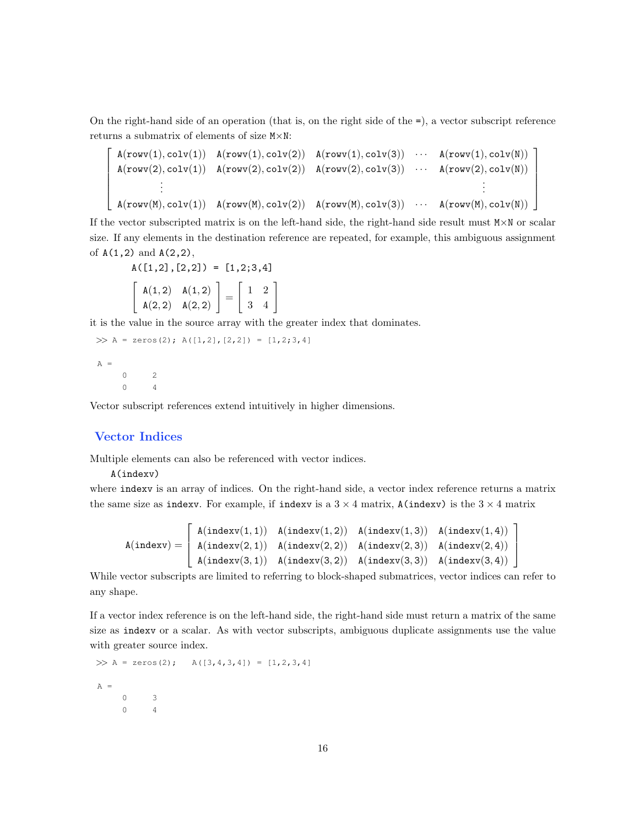On the right-hand side of an operation (that is, on the right side of the =), a vector subscript reference returns a submatrix of elements of size M×N:

$$
\begin{bmatrix}\nA(\text{rowv}(1), \text{colv}(1)) & A(\text{rowv}(1), \text{colv}(2)) & A(\text{rowv}(1), \text{colv}(3)) & \cdots & A(\text{rowv}(1), \text{colv}(N)) \\
A(\text{rowv}(2), \text{colv}(1)) & A(\text{rowv}(2), \text{colv}(2)) & A(\text{rowv}(2), \text{colv}(3)) & \cdots & A(\text{rowv}(2), \text{colv}(N)) \\
\vdots & \vdots & \vdots & \vdots \\
A(\text{rowv}(M), \text{colv}(1)) & A(\text{rowv}(M), \text{colv}(2)) & A(\text{rowv}(M), \text{colv}(3)) & \cdots & A(\text{rowv}(M), \text{colv}(N))\n\end{bmatrix}
$$

If the vector subscripted matrix is on the left-hand side, the right-hand side result must M×N or scalar size. If any elements in the destination reference are repeated, for example, this ambiguous assignment of A(1,2) and A(2,2),

 $A([1,2],[2,2]) = [1,2;3,4]$  $A(1,2)$   $A(1,2)$  $A(2, 2)$   $A(2, 2)$ 1 =  $\left[\begin{array}{cc} 1 & 2 \\ 3 & 4 \end{array}\right]$ 

it is the value in the source array with the greater index that dominates.

```
\gg A = zeros(2); A([1,2],[2,2]) = [1,2;3,4]
A =0 2
    0 4
```
Vector subscript references extend intuitively in higher dimensions.

# Vector Indices

Multiple elements can also be referenced with vector indices.

A(indexv)

where indexv is an array of indices. On the right-hand side, a vector index reference returns a matrix the same size as indexv. For example, if indexv is a  $3 \times 4$  matrix,  $A$ (indexv) is the  $3 \times 4$  matrix

$$
A(indexv) = \left\lceil \begin{array}{ll} A(indexv(1,1)) & A(indexv(1,2)) & A(indexv(1,3)) & A(indexv(1,4)) \\ A(indexv(2,1)) & A(indexv(2,2)) & A(indexv(2,3)) & A(indexv(3,4)) \\ A(indexv(3,1)) & A(indexv(3,2)) & A(indexv(3,3)) & A(indexv(3,4)) \end{array} \right\rceil
$$

While vector subscripts are limited to referring to block-shaped submatrices, vector indices can refer to any shape.

If a vector index reference is on the left-hand side, the right-hand side must return a matrix of the same size as indexv or a scalar. As with vector subscripts, ambiguous duplicate assignments use the value with greater source index.

```
\gg A = zeros(2); A([3,4,3,4]) = [1,2,3,4]
A =0 3
    0 4
```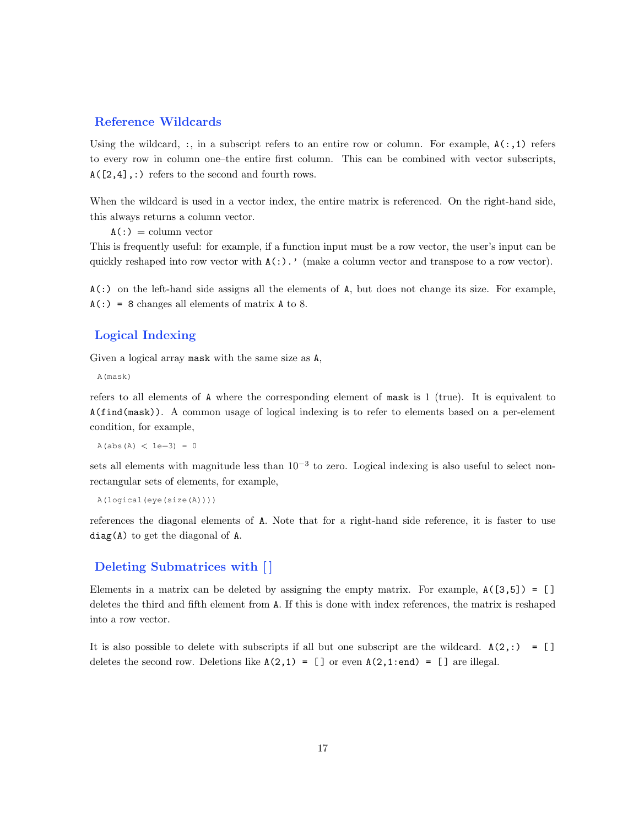### Reference Wildcards

Using the wildcard, :, in a subscript refers to an entire row or column. For example,  $A(:,1)$  refers to every row in column one–the entire first column. This can be combined with vector subscripts,  $A([2,4],: )$  refers to the second and fourth rows.

When the wildcard is used in a vector index, the entire matrix is referenced. On the right-hand side, this always returns a column vector.

 $A(:) = column vector$ 

This is frequently useful: for example, if a function input must be a row vector, the user's input can be quickly reshaped into row vector with  $A(:)$ .' (make a column vector and transpose to a row vector).

 $A(.)$  on the left-hand side assigns all the elements of A, but does not change its size. For example,  $A(:) = 8$  changes all elements of matrix A to 8.

# Logical Indexing

Given a logical array mask with the same size as A,

A(mask)

refers to all elements of A where the corresponding element of mask is 1 (true). It is equivalent to A(find(mask)). A common usage of logical indexing is to refer to elements based on a per-element condition, for example,

 $A(abs(A) < 1e-3) = 0$ 

sets all elements with magnitude less than  $10^{-3}$  to zero. Logical indexing is also useful to select nonrectangular sets of elements, for example,

```
A(logical(eye(size(A))))
```
references the diagonal elements of A. Note that for a right-hand side reference, it is faster to use diag(A) to get the diagonal of A.

# Deleting Submatrices with [ ]

Elements in a matrix can be deleted by assigning the empty matrix. For example,  $A([3,5]) = []$ deletes the third and fifth element from A. If this is done with index references, the matrix is reshaped into a row vector.

It is also possible to delete with subscripts if all but one subscript are the wildcard.  $A(2,:) = []$ deletes the second row. Deletions like  $A(2,1) = []$  or even  $A(2,1:end) = []$  are illegal.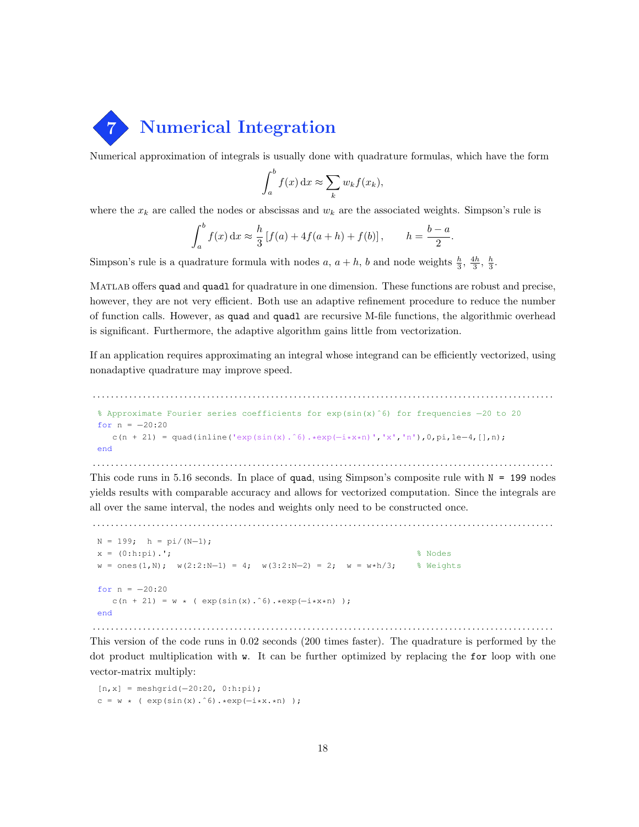

Numerical approximation of integrals is usually done with quadrature formulas, which have the form

$$
\int_a^b f(x) dx \approx \sum_k w_k f(x_k),
$$

where the  $x_k$  are called the nodes or abscissas and  $w_k$  are the associated weights. Simpson's rule is

$$
\int_{a}^{b} f(x) dx \approx \frac{h}{3} [f(a) + 4f(a+h) + f(b)], \qquad h = \frac{b-a}{2}.
$$

Simpson's rule is a quadrature formula with nodes a,  $a + h$ , b and node weights  $\frac{h}{3}$ ,  $\frac{4h}{3}$ ,  $\frac{h}{3}$ .

MATLAB offers quad and quadl for quadrature in one dimension. These functions are robust and precise, however, they are not very efficient. Both use an adaptive refinement procedure to reduce the number of function calls. However, as quad and quadl are recursive M-file functions, the algorithmic overhead is significant. Furthermore, the adaptive algorithm gains little from vectorization.

If an application requires approximating an integral whose integrand can be efficiently vectorized, using nonadaptive quadrature may improve speed.

```
. . . . . . . . . . . . . . . . . . . . . . . . . . . . . . . . . . . . . . . . . . . . . . . . . . . . . . . . . . . . . . . . . . . . . . . . . . . . . . . . . . . . . . . . . . . . . . . . . . . . .
% Approximate Fourier series coefficients for exp(sin(x)ˆ6) for frequencies −20 to 20
for n = -20:20c(n + 21) = quad(inline('exp(sin(x).^6).*exp(-i*x*n)','x','n'),0,pi,1e-4,[],n);
end
```
. . . . . . . . . . . . . . . . . . . . . . . . . . . . . . . . . . . . . . . . . . . . . . . . . . . . . . . . . . . . . . . . . . . . . . . . . . . . . . . . . . . . . . . . . . . . . . . . . . . . . This code runs in 5.16 seconds. In place of quad, using Simpson's composite rule with  $N = 199$  nodes yields results with comparable accuracy and allows for vectorized computation. Since the integrals are all over the same interval, the nodes and weights only need to be constructed once.

. . . . . . . . . . . . . . . . . . . . . . . . . . . . . . . . . . . . . . . . . . . . . . . . . . . . . . . . . . . . . . . . . . . . . . . . . . . . . . . . . . . . . . . . . . . . . . . . . . . . .

```
N = 199; h = pi/(N-1);x = (0:h:pi).'; \frac{1}{2} & Nodes
w = \text{ones}(1, N); w(2:2:N-1) = 4; w(3:2:N-2) = 2; w = w*h/3; % Weights
for n = -20:20c(n + 21) = w * ( exp(sin(x).^6).*exp(-i*x*n));
end
```
This version of the code runs in 0.02 seconds (200 times faster). The quadrature is performed by the dot product multiplication with **w**. It can be further optimized by replacing the for loop with one vector-matrix multiply:

. . . . . . . . . . . . . . . . . . . . . . . . . . . . . . . . . . . . . . . . . . . . . . . . . . . . . . . . . . . . . . . . . . . . . . . . . . . . . . . . . . . . . . . . . . . . . . . . . . . . .

[n,x] = meshgrid(−20:20, 0:h:pi);  $c = w * ( exp(sin(x).^6).*exp(-i*x.*n))$ ;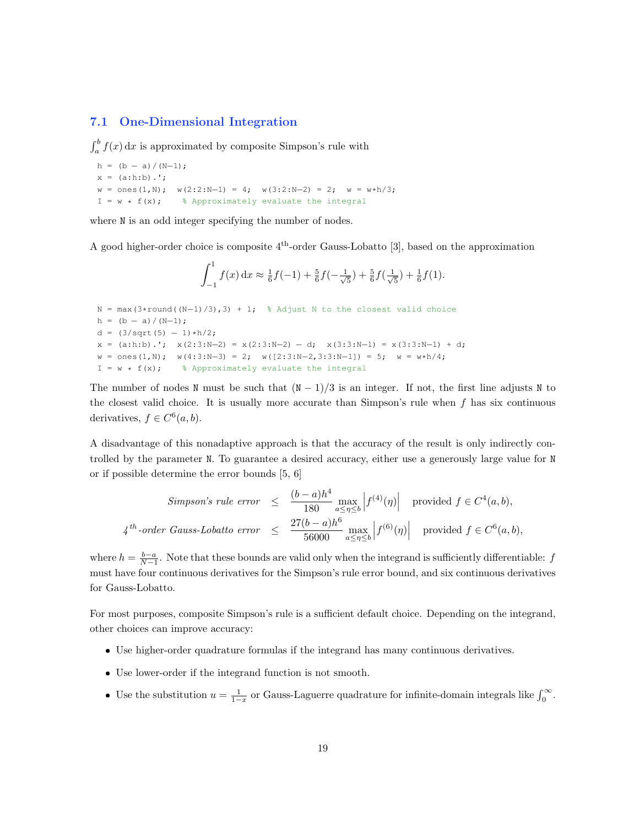# 7.1 One-Dimensional Integration

 $\int_a^b f(x) dx$  is approximated by composite Simpson's rule with

```
h = (b - a)/(N-1);
x = (a:h:b) . ';
w = \text{ones}(1, N); \quad w(2:2:N-1) = 4; \quad w(3:2:N-2) = 2; \quad w = w*h/3;I = w * f(x); % Approximately evaluate the integral
```
where  $N$  is an odd integer specifying the number of nodes.

A good higher-order choice is composite  $4<sup>th</sup>$ -order Gauss-Lobatto [3], based on the approximation

$$
\int_{-1}^{1} f(x) dx \approx \frac{1}{6} f(-1) + \frac{5}{6} f(-\frac{1}{\sqrt{5}}) + \frac{5}{6} f(\frac{1}{\sqrt{5}}) + \frac{1}{6} f(1).
$$

```
N = max(3*round((N-1)/3), 3) + 1; % Adjust N to the closest valid choice
h = (b - a)/(N-1);
d = (3/\sqrt{5}) - 1*h/2;x = (a:h:b) \cdot; x(2:3:N-2) = x(2:3:N-2) - d; x(3:3:N-1) = x(3:3:N-1) + d;
w = ones(1,N); w(4:3:N-3) = 2; w([2:3:N-2,3:3:N-1]) = 5; w = w*h/4;
I = w * f(x); % Approximately evaluate the integral
```
The number of nodes N must be such that  $(N-1)/3$  is an integer. If not, the first line adjusts N to the closest valid choice. It is usually more accurate than Simpson's rule when  $f$  has six continuous derivatives,  $f \in C^6(a, b)$ .

A disadvantage of this nonadaptive approach is that the accuracy of the result is only indirectly controlled by the parameter N. To guarantee a desired accuracy, either use a generously large value for N or if possible determine the error bounds [5, 6]

$$
Simpson's rule error \leq \frac{(b-a)h^4}{180} \max_{a \leq \eta \leq b} \left| f^{(4)}(\eta) \right| \text{ provided } f \in C^4(a, b),
$$
  

$$
4^{th}\text{-order Gauss-Lobatto error} \leq \frac{27(b-a)h^6}{56000} \max_{a \leq \eta \leq b} \left| f^{(6)}(\eta) \right| \text{ provided } f \in C^6(a, b),
$$

where  $h = \frac{b-a}{N-1}$ . Note that these bounds are valid only when the integrand is sufficiently differentiable: f must have four continuous derivatives for the Simpson's rule error bound, and six continuous derivatives for Gauss-Lobatto.

For most purposes, composite Simpson's rule is a sufficient default choice. Depending on the integrand, other choices can improve accuracy:

- Use higher-order quadrature formulas if the integrand has many continuous derivatives.
- Use lower-order if the integrand function is not smooth.
- Use the substitution  $u = \frac{1}{1-x}$  or Gauss-Laguerre quadrature for infinite-domain integrals like  $\int_0^\infty$ .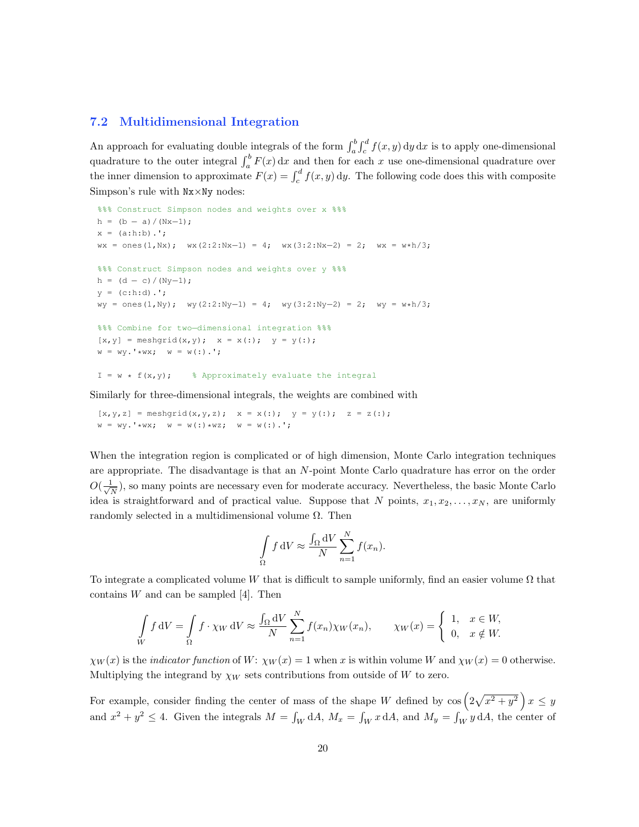#### 7.2 Multidimensional Integration

An approach for evaluating double integrals of the form  $\int_a^b \int_c^d f(x, y) dy dx$  is to apply one-dimensional quadrature to the outer integral  $\int_a^b F(x) dx$  and then for each x use one-dimensional quadrature over the inner dimension to approximate  $F(x) = \int_c^d f(x, y) dy$ . The following code does this with composite Simpson's rule with Nx×Ny nodes:

```
%%% Construct Simpson nodes and weights over x %%
h = (b - a)/(Nx-1);
x = (a:h:b) \cdot ';
wx = ones(1,Nx); wx(2:2:Nx-1) = 4; wx(3:2:Nx-2) = 2; wx = w*h/3;
%%% Construct Simpson nodes and weights over y %%%
h = (d - c)/(Ny-1);
y = (c:h:d) .';
wy = ones(1,Ny); wy(2:2:Ny−1) = 4; wy(3:2:Ny−2) = 2; wy = w*h/3;
%%% Combine for two−dimensional integration %%%
[x, y] = \text{meshgrid}(x, y); x = x(:); y = y(:);w = wy.'*wx; w = w(:).';
I = w * f(x, y); % Approximately evaluate the integral
```
Similarly for three-dimensional integrals, the weights are combined with

 $[x, y, z] = \text{meshgrid}(x, y, z);$   $x = x(:);$   $y = y(:);$   $z = z(:);$  $w = wy.'$  \*wx;  $w = w(:)$  \*wz;  $w = w(:)$ .';

When the integration region is complicated or of high dimension, Monte Carlo integration techniques are appropriate. The disadvantage is that an N-point Monte Carlo quadrature has error on the order  $O(\frac{1}{\sqrt{2}})$  $\frac{1}{N}$ ), so many points are necessary even for moderate accuracy. Nevertheless, the basic Monte Carlo idea is straightforward and of practical value. Suppose that N points,  $x_1, x_2, \ldots, x_N$ , are uniformly randomly selected in a multidimensional volume  $\Omega$ . Then

$$
\int_{\Omega} f \, \mathrm{d}V \approx \frac{\int_{\Omega} \mathrm{d}V}{N} \sum_{n=1}^{N} f(x_n).
$$

To integrate a complicated volume W that is difficult to sample uniformly, find an easier volume  $\Omega$  that contains  $W$  and can be sampled [4]. Then

$$
\int_{W} f \, dV = \int_{\Omega} f \cdot \chi_{W} \, dV \approx \frac{\int_{\Omega} dV}{N} \sum_{n=1}^{N} f(x_{n}) \chi_{W}(x_{n}), \qquad \chi_{W}(x) = \begin{cases} 1, & x \in W, \\ 0, & x \notin W. \end{cases}
$$

 $\chi_W(x)$  is the *indicator function* of W:  $\chi_W(x) = 1$  when x is within volume W and  $\chi_W(x) = 0$  otherwise. Multiplying the integrand by  $\chi_W$  sets contributions from outside of W to zero.

For example, consider finding the center of mass of the shape W defined by  $\cos\left(2\sqrt{x^2+y^2}\right)x \leq y$ and  $x^2 + y^2 \le 4$ . Given the integrals  $M = \int_W dA$ ,  $M_x = \int_W x dA$ , and  $M_y = \int_W y dA$ , the center of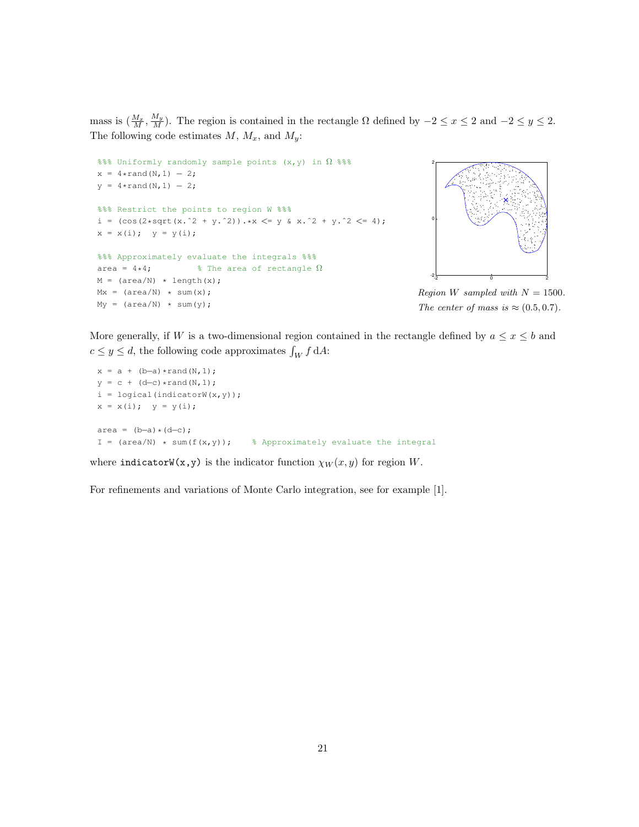mass is  $(\frac{M_x}{M}, \frac{M_y}{M})$ . The region is contained in the rectangle  $\Omega$  defined by  $-2 \le x \le 2$  and  $-2 \le y \le 2$ . The following code estimates  $M$ ,  $M_x$ , and  $M_y$ :

```
%%% Uniformly randomly sample points (x, y) in \Omega %%
x = 4*rand(N, 1) - 2;y = 4*rand(N,1) - 2;%%% Restrict the points to region W %%%
i = (\cos(2*sqrt(x.^2 + y.^2)).*x \le y \& x.^2 + y.^2 \le 4);x = x(i); y = y(i);%%% Approximately evaluate the integrals %%
area = 4*4; \frac{1}{2} \frac{1}{2} \frac{1}{2} The area of rectangle \OmegaM = (\text{area}/N) \cdot \text{length}(x);Mx = (area/N) * sum(x);My = (area/N) * sum(y);
```


Region W sampled with  $N = 1500$ . The center of mass is  $\approx (0.5, 0.7)$ .

More generally, if W is a two-dimensional region contained in the rectangle defined by  $a \leq x \leq b$  and  $c \leq y \leq d$ , the following code approximates  $\int_W f \, dA$ :

 $x = a + (b-a) * \text{rand}(N,1);$  $y = c + (d-c) * rand(N,1);$  $i =$  logical(indicatorW(x, y));  $x = x(i); y = y(i);$  $area = (b-a)*(d-c);$ I =  $(\text{area}/N)$  \* sum(f(x,y)); % Approximately evaluate the integral

where indicatorW(x,y) is the indicator function  $\chi_W(x, y)$  for region W.

For refinements and variations of Monte Carlo integration, see for example [1].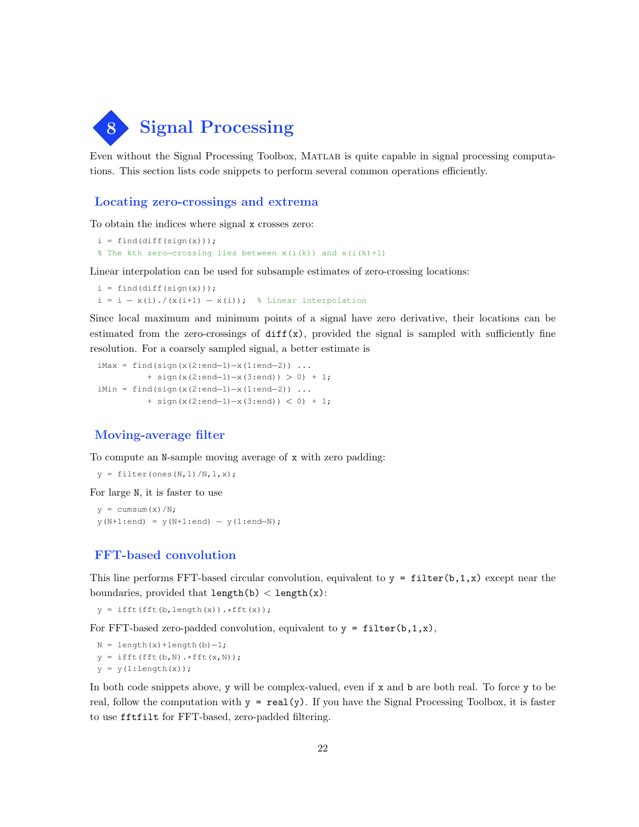

Even without the Signal Processing Toolbox, Matlab is quite capable in signal processing computations. This section lists code snippets to perform several common operations efficiently.

# Locating zero-crossings and extrema

To obtain the indices where signal x crosses zero:

```
i = \text{find}(diff(sign(x)));
% The kth zero−crossing lies between x(i(k)) and x(i(k)+1)
```
Linear interpolation can be used for subsample estimates of zero-crossing locations:

 $i = \text{find}(diff(\text{sign}(x)))$ ; i = i - x(i)./(x(i+1) - x(i)); % Linear interpolation

Since local maximum and minimum points of a signal have zero derivative, their locations can be estimated from the zero-crossings of  $diff(x)$ , provided the signal is sampled with sufficiently fine resolution. For a coarsely sampled signal, a better estimate is

```
iMax = find(sign(x(2:end-1)-x(1:end-2)) ...
         + sign(x(2:end−1)−x(3:end)) > 0) + 1;
iMin = find(sign(x(2:end-1)-x(1:end-2)) ...
          + sign(x(2:end−1)−x(3:end)) < 0) + 1;
```
# Moving-average filter

To compute an N-sample moving average of x with zero padding:

```
y = filter (ones (N, 1) / N, 1, x);
```
For large N, it is faster to use

 $y = \text{cumsum}(x)/N$ ;  $y(N+1:end) = y(N+1:end) - y(1:end-N);$ 

### FFT-based convolution

This line performs FFT-based circular convolution, equivalent to  $y = filter(b,1,x)$  except near the boundaries, provided that  $length(b) < length(x)$ :

 $y = ifft(fft(b, length(x)) . *fft(x));$ 

For FFT-based zero-padded convolution, equivalent to  $y = \text{filter}(b,1,x)$ ,

```
N = length(x)+length(b)-1;
y = ifft(fft(b,N).*fft(x,N));y = y(1:length(x));
```
In both code snippets above, y will be complex-valued, even if x and b are both real. To force y to be real, follow the computation with  $y = \text{real}(y)$ . If you have the Signal Processing Toolbox, it is faster to use fftfilt for FFT-based, zero-padded filtering.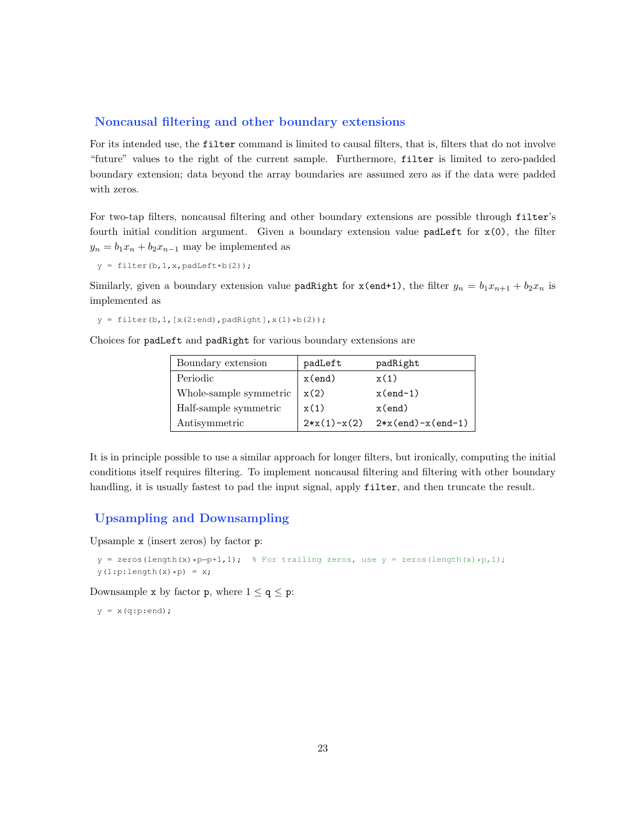# Noncausal filtering and other boundary extensions

For its intended use, the filter command is limited to causal filters, that is, filters that do not involve "future" values to the right of the current sample. Furthermore, filter is limited to zero-padded boundary extension; data beyond the array boundaries are assumed zero as if the data were padded with zeros.

For two-tap filters, noncausal filtering and other boundary extensions are possible through filter's fourth initial condition argument. Given a boundary extension value  $padLeft$  for  $x(0)$ , the filter  $y_n = b_1x_n + b_2x_{n-1}$  may be implemented as

 $y = filter(b, 1, x, padLeft * b(2));$ 

Similarly, given a boundary extension value **padRight** for  $x$ (end+1), the filter  $y_n = b_1x_{n+1} + b_2x_n$  is implemented as

 $y = filter(b, 1, [x(2:end), padRight], x(1) * b(2));$ 

Choices for padLeft and padRight for various boundary extensions are

| Boundary extension     | padLeft       | padRight            |
|------------------------|---------------|---------------------|
| Periodic               | $x$ (end)     | x(1)                |
| Whole-sample symmetric | x(2)          | $x(end-1)$          |
| Half-sample symmetric  | x(1)          | $x$ (end)           |
| Antisymmetric          | $2*x(1)-x(2)$ | $2*x(end)-x(end-1)$ |

It is in principle possible to use a similar approach for longer filters, but ironically, computing the initial conditions itself requires filtering. To implement noncausal filtering and filtering with other boundary handling, it is usually fastest to pad the input signal, apply filter, and then truncate the result.

#### Upsampling and Downsampling

Upsample x (insert zeros) by factor p:

```
y = zeros(length(x)*p-p+1,1); % For trailing zeros, use y = zeros(length(x)*p,1);y(1:p:\text{length}(x)*p) = x;
```
Downsample x by factor **p**, where  $1 \le q \le p$ :

 $y = x(q:p:end);$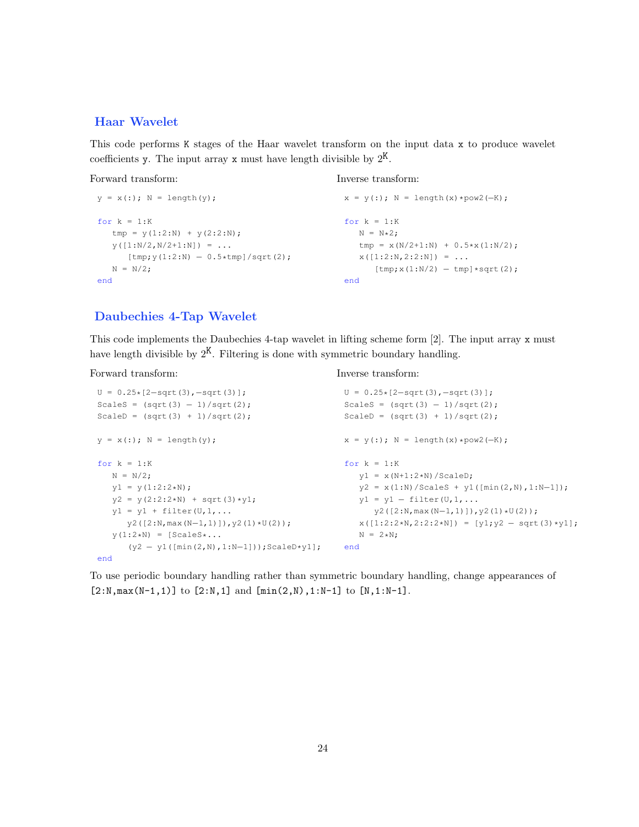# Haar Wavelet

This code performs K stages of the Haar wavelet transform on the input data x to produce wavelet coefficients y. The input array x must have length divisible by  $2^{K}$ .

Forward transform:

Inverse transform:

Inverse transform:

```
y = x(:); N = length(y);for k = 1:Ktmp = y(1:2:N) + y(2:2:N);y([1:N/2,N/2+1:N]) = ...[tmp; y(1:2:N) - 0.5*tmp]/sqrt(2);N = N/2;end
                                                x = y(:); N = length(x)*pow2(-K);for k = 1:KN = N*2;tmp = x(N/2+1:N) + 0.5*x(1:N/2);x([1:2:N,2:2:N]) = ...[tmp; x(1:N/2) - tmp] * sqrt(2);end
```
# Daubechies 4-Tap Wavelet

This code implements the Daubechies 4-tap wavelet in lifting scheme form [2]. The input array x must have length divisible by  $2^{K}$ . Filtering is done with symmetric boundary handling.

Forward transform:

```
U = 0.25 * [2 - sqrt(3), -sqrt(3)];Scales = (sqrt(3) - 1)/sqrt(2);ScaleD = (sqrt(3) + 1)/sqrt(2);y = x(:); N = length(y);for k = 1:KN = N/2;
  y1 = y(1:2:2*N);y2 = y(2:2:2*N) + sqrt(3)*y1;y1 = y1 + filter(U,1,...y2([2:N,max(N−1,1)]),y2(1)*U(2));
  y(1:2*N) = [Scales * ...](y2 − y1([min(2,N),1:N−1]));ScaleD*y1];
                                                 U = 0.25*[2−sqrt(3),−sqrt(3)];
                                                 Scales = (sqrt(3) - 1)/sqrt(2);ScaleD = (sqrt(3) + 1)/sqrt(2);x = y(:); N = length(x)*pow2(-K);for k = 1:Ky1 = x(N+1:2*N) / ScaleD;y2 = x(1:N)/Scales + y1([min(2,N),1:N-1]);y1 = y1 - filter(U,1,...y2([2:N,max(N−1,1)]),y2(1)*U(2));
                                                    x([1:2:2*N,2:2:2*N]) = [y1, y2 - sqrt(3) * y1];N = 2*N;end
```
end

To use periodic boundary handling rather than symmetric boundary handling, change appearances of  $[2:N, max(N-1,1)]$  to  $[2:N,1]$  and  $[min(2,N),1:N-1]$  to  $[N,1:N-1]$ .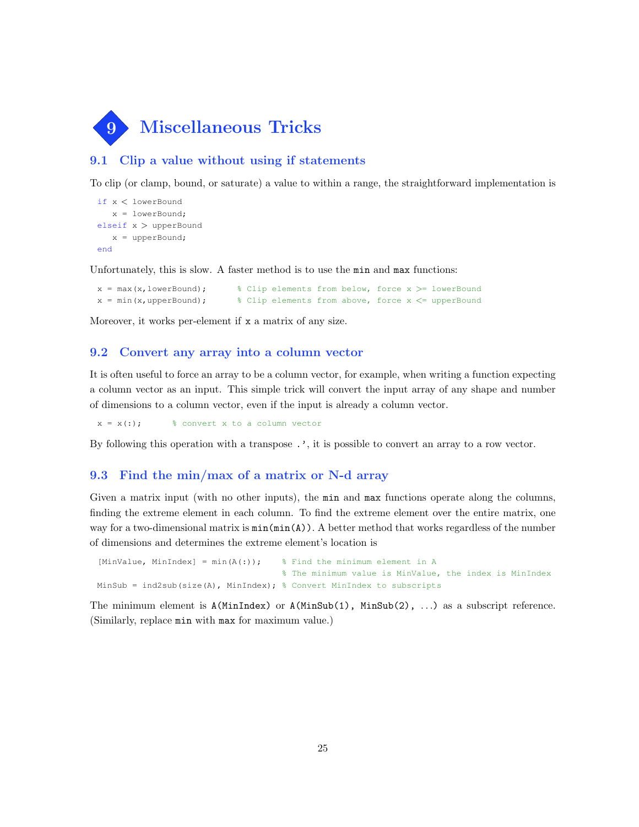

# 9.1 Clip a value without using if statements

To clip (or clamp, bound, or saturate) a value to within a range, the straightforward implementation is

```
if x < lowerBound
   x = lowerBound;
elseif x > upperBound
   x = upperBound;
end
```
Unfortunately, this is slow. A faster method is to use the min and max functions:

```
x = max(x,lowerBound); % Clip elements from below, force x >= lowerBound
x = min(x, upperBound); % Clip elements from above, force x \leq^= upperBound
```
Moreover, it works per-element if x a matrix of any size.

#### 9.2 Convert any array into a column vector

It is often useful to force an array to be a column vector, for example, when writing a function expecting a column vector as an input. This simple trick will convert the input array of any shape and number of dimensions to a column vector, even if the input is already a column vector.

 $x = x(:);$  % convert x to a column vector

By following this operation with a transpose .', it is possible to convert an array to a row vector.

#### 9.3 Find the min/max of a matrix or N-d array

Given a matrix input (with no other inputs), the min and max functions operate along the columns, finding the extreme element in each column. To find the extreme element over the entire matrix, one way for a two-dimensional matrix is  $min(min(A))$ . A better method that works regardless of the number of dimensions and determines the extreme element's location is

```
[MinValue, MinIndex] = min(A(:)); \frac{1}{2} Find the minimum element in A
                                      % The minimum value is MinValue, the index is MinIndex
MinSub = ind2sub(size(A), MinIndex); % Convert MinIndex to subscripts
```
The minimum element is A(MinIndex) or A(MinSub(1), MinSub(2), . . .) as a subscript reference. (Similarly, replace min with max for maximum value.)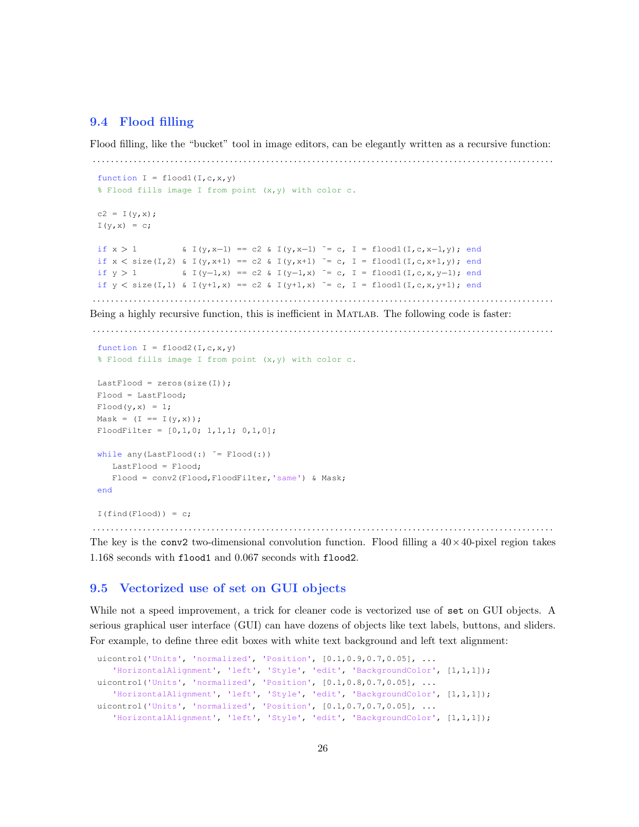# 9.4 Flood filling

Flood filling, like the "bucket" tool in image editors, can be elegantly written as a recursive function:

```
. . . . . . . . . . . . . . . . . . . . . . . . . . . . . . . . . . . . . . . . . . . . . . . . . . . . . . . . . . . . . . . . . . . . . . . . . . . . . . . . . . . . . . . . . . . . . . . . . . . . .
 function I = \text{flood1}(I, c, x, y)% Flood fills image I from point (x,y) with color c.
 c2 = I(y, x);
 I(y, x) = c;if x > 1 & I(y, x-1) == c2 & I(y, x-1) ~= c, I = flood1(I, c, x-1, y); end
 if x < size(I,2) & I(y, x+1) == c2 & I(y, x+1) ~= c, I = flood1(I, c, x+1, y); end
 if y > 1 \& I(y-1,x) == c2 & I(y-1,x) \tilde{=} c, I = flood1(I,c,x,y-1); end
 if y < size(I,1) & I(y+1,x) == c2 & I(y+1,x) ~= c, I = flood1(I,c,x,y+1); end
. . . . . . . . . . . . . . . . . . . . . . . . . . . . . . . . . . . . . . . . . . . . . . . . . . . . . . . . . . . . . . . . . . . . . . . . . . . . . . . . . . . . . . . . . . . . . . . . . . . . .
```
Being a highly recursive function, this is inefficient in MATLAB. The following code is faster:

. . . . . . . . . . . . . . . . . . . . . . . . . . . . . . . . . . . . . . . . . . . . . . . . . . . . . . . . . . . . . . . . . . . . . . . . . . . . . . . . . . . . . . . . . . . . . . . . . . . . .

```
function I = \text{flood2}(I, c, x, y)% Flood fills image I from point (x,y) with color c.
LastFlood = zeros(size(I));
Flood = LastFlood;
Flood(y, x) = 1;Mask = (I == I(y, x));FloodFilter = [0, 1, 0; 1, 1, 1; 0, 1, 0];while any (LastFlood(:) \varepsilon = Flood(:)LastFlood = Flood;
   Flood = conv2(Flood, FloodFilter, 'same') & Mask;
end
I(find(Flood)) = c;
```
. . . . . . . . . . . . . . . . . . . . . . . . . . . . . . . . . . . . . . . . . . . . . . . . . . . . . . . . . . . . . . . . . . . . . . . . . . . . . . . . . . . . . . . . . . . . . . . . . . . . .

The key is the conv2 two-dimensional convolution function. Flood filling a  $40 \times 40$ -pixel region takes 1.168 seconds with flood1 and 0.067 seconds with flood2.

#### 9.5 Vectorized use of set on GUI objects

While not a speed improvement, a trick for cleaner code is vectorized use of set on GUI objects. A serious graphical user interface (GUI) can have dozens of objects like text labels, buttons, and sliders. For example, to define three edit boxes with white text background and left text alignment:

```
uicontrol('Units', 'normalized', 'Position', [0.1,0.9,0.7,0.05], ...
   'HorizontalAlignment', 'left', 'Style', 'edit', 'BackgroundColor', [1,1,1]);
uicontrol('Units', 'normalized', 'Position', [0.1,0.8,0.7,0.05], ...
   'HorizontalAlignment', 'left', 'Style', 'edit', 'BackgroundColor', [1,1,1]);
uicontrol('Units', 'normalized', 'Position', [0.1,0.7,0.7,0.05], ...
   'HorizontalAlignment', 'left', 'Style', 'edit', 'BackgroundColor', [1,1,1]);
```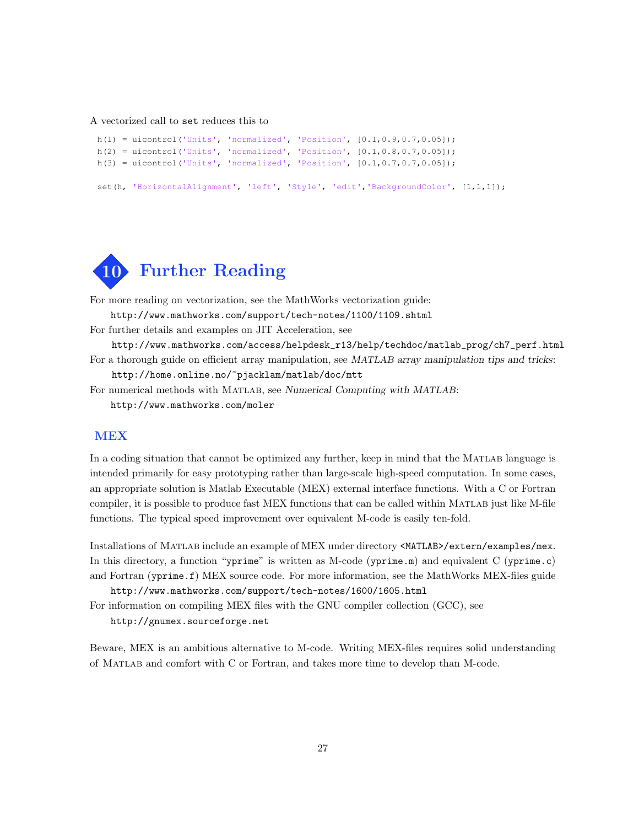A vectorized call to set reduces this to

```
h(1) = uicontrol('Units', 'normalized', 'Position', [0.1,0.9,0.7,0.05]);
h(2) = uicontrol('Units', 'normalized', 'Position', [0.1, 0.8, 0.7, 0.05]);h(3) = uicontrol('Units', 'normalized', 'Position', [0.1, 0.7, 0.7, 0.05]);set(h, 'HorizontalAlignment', 'left', 'Style', 'edit', 'BackgroundColor', [1,1,1]);
```


For more reading on vectorization, see the MathWorks vectorization guide:

http://www.mathworks.com/support/tech-notes/1100/1109.shtml

For further details and examples on JIT Acceleration, see

http://www.mathworks.com/access/helpdesk\_r13/help/techdoc/matlab\_prog/ch7\_perf.html For a thorough guide on efficient array manipulation, see MATLAB array manipulation tips and tricks:

http://home.online.no/~pjacklam/matlab/doc/mtt

For numerical methods with Matlab, see Numerical Computing with MATLAB: http://www.mathworks.com/moler

# MEX

In a coding situation that cannot be optimized any further, keep in mind that the MATLAB language is intended primarily for easy prototyping rather than large-scale high-speed computation. In some cases, an appropriate solution is Matlab Executable (MEX) external interface functions. With a C or Fortran compiler, it is possible to produce fast MEX functions that can be called within MATLAB just like M-file functions. The typical speed improvement over equivalent M-code is easily ten-fold.

Installations of Matlab include an example of MEX under directory <MATLAB>/extern/examples/mex. In this directory, a function "yprime" is written as M-code (yprime.m) and equivalent C (yprime.c) and Fortran (yprime.f) MEX source code. For more information, see the MathWorks MEX-files guide http://www.mathworks.com/support/tech-notes/1600/1605.html

For information on compiling MEX files with the GNU compiler collection (GCC), see http://gnumex.sourceforge.net

Beware, MEX is an ambitious alternative to M-code. Writing MEX-files requires solid understanding of Matlab and comfort with C or Fortran, and takes more time to develop than M-code.